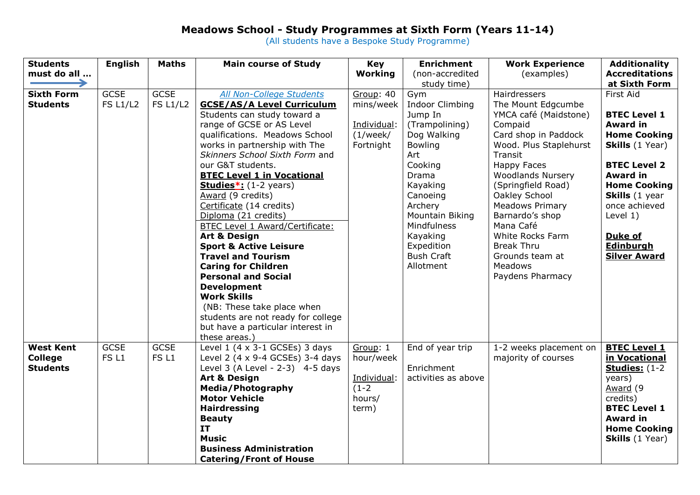## **Meadows School - Study Programmes at Sixth Form (Years 11-14)**

(All students have a Bespoke Study Programme)

| <b>Students</b>   | <b>English</b>   | <b>Maths</b>     | <b>Main course of Study</b>         | Key         | <b>Enrichment</b>      | <b>Work Experience</b>   | <b>Additionality</b>   |
|-------------------|------------------|------------------|-------------------------------------|-------------|------------------------|--------------------------|------------------------|
| must do all       |                  |                  |                                     | Working     | (non-accredited        | (examples)               | <b>Accreditations</b>  |
|                   |                  |                  |                                     |             | study time)            |                          | at Sixth Form          |
| <b>Sixth Form</b> | <b>GCSE</b>      | <b>GCSE</b>      | All Non-College Students            | Group: 40   | Gym                    | Hairdressers             | First Aid              |
| <b>Students</b>   | <b>FS L1/L2</b>  | <b>FS L1/L2</b>  | <b>GCSE/AS/A Level Curriculum</b>   | mins/week   | <b>Indoor Climbing</b> | The Mount Edgcumbe       |                        |
|                   |                  |                  | Students can study toward a         |             | Jump In                | YMCA café (Maidstone)    | <b>BTEC Level 1</b>    |
|                   |                  |                  | range of GCSE or AS Level           | Individual: | (Trampolining)         | Compaid                  | <b>Award in</b>        |
|                   |                  |                  | qualifications. Meadows School      | (1/week/    | Dog Walking            | Card shop in Paddock     | <b>Home Cooking</b>    |
|                   |                  |                  | works in partnership with The       | Fortnight   | Bowling                | Wood. Plus Staplehurst   | <b>Skills</b> (1 Year) |
|                   |                  |                  | Skinners School Sixth Form and      |             | Art                    | Transit                  |                        |
|                   |                  |                  | our G&T students.                   |             | Cooking                | <b>Happy Faces</b>       | <b>BTEC Level 2</b>    |
|                   |                  |                  | <b>BTEC Level 1 in Vocational</b>   |             | Drama                  | <b>Woodlands Nursery</b> | <b>Award in</b>        |
|                   |                  |                  | Studies <sup>*</sup> : (1-2 years)  |             | Kayaking               | (Springfield Road)       | <b>Home Cooking</b>    |
|                   |                  |                  | Award (9 credits)                   |             | Canoeing               | Oakley School            | Skills (1 year         |
|                   |                  |                  | Certificate (14 credits)            |             | Archery                | <b>Meadows Primary</b>   | once achieved          |
|                   |                  |                  | Diploma (21 credits)                |             | Mountain Biking        | Barnardo's shop          | Level $1)$             |
|                   |                  |                  | BTEC Level 1 Award/Certificate:     |             | Mindfulness            | Mana Café                |                        |
|                   |                  |                  | <b>Art &amp; Design</b>             |             | Kayaking               | White Rocks Farm         | Duke of                |
|                   |                  |                  | <b>Sport &amp; Active Leisure</b>   |             | Expedition             | <b>Break Thru</b>        | Edinburgh              |
|                   |                  |                  | <b>Travel and Tourism</b>           |             | <b>Bush Craft</b>      | Grounds team at          | <b>Silver Award</b>    |
|                   |                  |                  | <b>Caring for Children</b>          |             | Allotment              | Meadows                  |                        |
|                   |                  |                  | <b>Personal and Social</b>          |             |                        | Paydens Pharmacy         |                        |
|                   |                  |                  | <b>Development</b>                  |             |                        |                          |                        |
|                   |                  |                  | <b>Work Skills</b>                  |             |                        |                          |                        |
|                   |                  |                  | (NB: These take place when          |             |                        |                          |                        |
|                   |                  |                  | students are not ready for college  |             |                        |                          |                        |
|                   |                  |                  | but have a particular interest in   |             |                        |                          |                        |
|                   |                  |                  | these areas.)                       |             |                        |                          |                        |
| <b>West Kent</b>  | <b>GCSE</b>      | <b>GCSE</b>      | Level $1$ (4 x 3-1 GCSEs) 3 days    | Group: 1    | End of year trip       | 1-2 weeks placement on   | <b>BTEC Level 1</b>    |
| <b>College</b>    | FS <sub>L1</sub> | FS <sub>L1</sub> | Level 2 (4 x 9-4 GCSEs) 3-4 days    | hour/week   |                        | majority of courses      | in Vocational          |
| <b>Students</b>   |                  |                  | Level 3 (A Level - $2-3$ ) 4-5 days |             | Enrichment             |                          | <b>Studies:</b> (1-2)  |
|                   |                  |                  | <b>Art &amp; Design</b>             | Individual: | activities as above    |                          | years)                 |
|                   |                  |                  | <b>Media/Photography</b>            | $(1-2)$     |                        |                          | Award (9               |
|                   |                  |                  | <b>Motor Vehicle</b>                | hours/      |                        |                          | credits)               |
|                   |                  |                  | <b>Hairdressing</b>                 | term)       |                        |                          | <b>BTEC Level 1</b>    |
|                   |                  |                  | <b>Beauty</b>                       |             |                        |                          | <b>Award in</b>        |
|                   |                  |                  | <b>IT</b>                           |             |                        |                          | <b>Home Cooking</b>    |
|                   |                  |                  | <b>Music</b>                        |             |                        |                          | <b>Skills</b> (1 Year) |
|                   |                  |                  | <b>Business Administration</b>      |             |                        |                          |                        |
|                   |                  |                  | <b>Catering/Front of House</b>      |             |                        |                          |                        |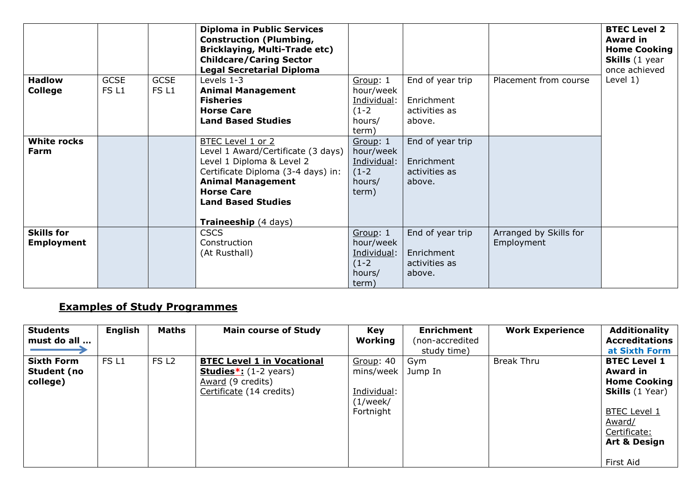| <b>Hadlow</b>                          | <b>GCSE</b>      | <b>GCSE</b>      | <b>Diploma in Public Services</b><br><b>Construction (Plumbing,</b><br><b>Bricklaying, Multi-Trade etc)</b><br><b>Childcare/Caring Sector</b><br><b>Legal Secretarial Diploma</b><br>Levels 1-3                                         | Group: 1                                                           | End of year trip                                          | Placement from course                | <b>BTEC Level 2</b><br><b>Award in</b><br><b>Home Cooking</b><br>Skills (1 year<br>once achieved<br>Level $1)$ |
|----------------------------------------|------------------|------------------|-----------------------------------------------------------------------------------------------------------------------------------------------------------------------------------------------------------------------------------------|--------------------------------------------------------------------|-----------------------------------------------------------|--------------------------------------|----------------------------------------------------------------------------------------------------------------|
| <b>College</b>                         | FS <sub>L1</sub> | FS <sub>L1</sub> | <b>Animal Management</b><br><b>Fisheries</b><br><b>Horse Care</b><br><b>Land Based Studies</b>                                                                                                                                          | hour/week<br>Individual:<br>$(1-2)$<br>hours/<br>term)             | Enrichment<br>activities as<br>above.                     |                                      |                                                                                                                |
| <b>White rocks</b><br>Farm             |                  |                  | <b>BTEC Level 1 or 2</b><br>Level 1 Award/Certificate (3 days)<br>Level 1 Diploma & Level 2<br>Certificate Diploma (3-4 days) in:<br><b>Animal Management</b><br><b>Horse Care</b><br><b>Land Based Studies</b><br>Traineeship (4 days) | Group: 1<br>hour/week<br>Individual:<br>$(1-2)$<br>hours/<br>term) | End of year trip<br>Enrichment<br>activities as<br>above. |                                      |                                                                                                                |
| <b>Skills for</b><br><b>Employment</b> |                  |                  | <b>CSCS</b><br>Construction<br>(At Rusthall)                                                                                                                                                                                            | Group: 1<br>hour/week<br>Individual:<br>$(1-2)$<br>hours/<br>term) | End of year trip<br>Enrichment<br>activities as<br>above. | Arranged by Skills for<br>Employment |                                                                                                                |

## **Examples of Study Programmes**

| <b>Students</b>   | English          | <b>Maths</b>     | <b>Main course of Study</b>                | <b>Key</b>       | <b>Enrichment</b> | <b>Work Experience</b> | <b>Additionality</b>    |
|-------------------|------------------|------------------|--------------------------------------------|------------------|-------------------|------------------------|-------------------------|
| must do all       |                  |                  |                                            | Working          | (non-accredited   |                        | <b>Accreditations</b>   |
|                   |                  |                  |                                            |                  | study time)       |                        | at Sixth Form           |
| <b>Sixth Form</b> | FS <sub>L1</sub> | FS <sub>L2</sub> | <b>BTEC Level 1 in Vocational</b>          | <b>Group: 40</b> | Gym               | <b>Break Thru</b>      | <b>BTEC Level 1</b>     |
| Student (no       |                  |                  | <b>Studies</b> $*$ : $(1-2 \text{ years})$ | mins/week        | Jump In           |                        | <b>Award in</b>         |
| college)          |                  |                  | Award (9 credits)                          |                  |                   |                        | <b>Home Cooking</b>     |
|                   |                  |                  | Certificate (14 credits)                   | Individual:      |                   |                        | <b>Skills</b> (1 Year)  |
|                   |                  |                  |                                            | (1/week/         |                   |                        |                         |
|                   |                  |                  |                                            | Fortnight        |                   |                        | <b>BTEC Level 1</b>     |
|                   |                  |                  |                                            |                  |                   |                        | Award/                  |
|                   |                  |                  |                                            |                  |                   |                        | Certificate:            |
|                   |                  |                  |                                            |                  |                   |                        | <b>Art &amp; Design</b> |
|                   |                  |                  |                                            |                  |                   |                        |                         |
|                   |                  |                  |                                            |                  |                   |                        | First Aid               |